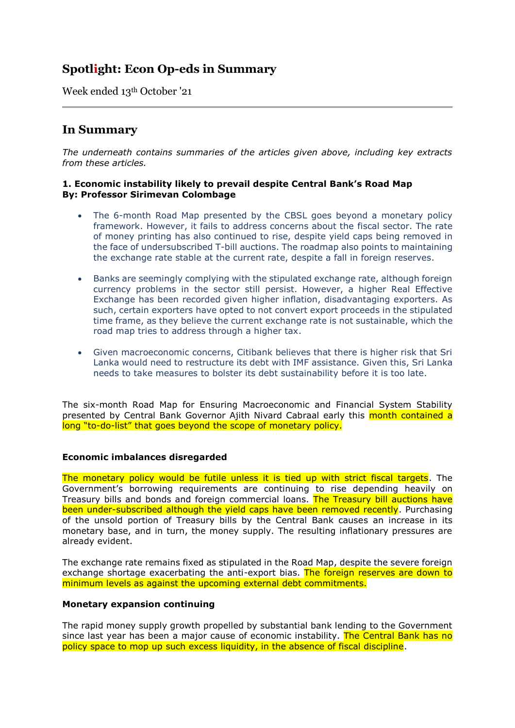# **Spotlight: Econ Op-eds in Summary**

Week ended 13th October '21

## **In Summary**

*The underneath contains summaries of the articles given above, including key extracts from these articles.*

## **1. Economic instability likely to prevail despite Central Bank's Road Map By: Professor Sirimevan Colombage**

- The 6-month Road Map presented by the CBSL goes beyond a monetary policy framework. However, it fails to address concerns about the fiscal sector. The rate of money printing has also continued to rise, despite yield caps being removed in the face of undersubscribed T-bill auctions. The roadmap also points to maintaining the exchange rate stable at the current rate, despite a fall in foreign reserves.
- Banks are seemingly complying with the stipulated exchange rate, although foreign currency problems in the sector still persist. However, a higher Real Effective Exchange has been recorded given higher inflation, disadvantaging exporters. As such, certain exporters have opted to not convert export proceeds in the stipulated time frame, as they believe the current exchange rate is not sustainable, which the road map tries to address through a higher tax.
- Given macroeconomic concerns, Citibank believes that there is higher risk that Sri Lanka would need to restructure its debt with IMF assistance. Given this, Sri Lanka needs to take measures to bolster its debt sustainability before it is too late.

The six-month Road Map for Ensuring Macroeconomic and Financial System Stability presented by Central Bank Governor Ajith Nivard Cabraal early this month contained a long "to-do-list" that goes beyond the scope of monetary policy.

## **Economic imbalances disregarded**

The monetary policy would be futile unless it is tied up with strict fiscal targets. The Government's borrowing requirements are continuing to rise depending heavily on Treasury bills and bonds and foreign commercial loans. The Treasury bill auctions have been under-subscribed although the yield caps have been removed recently. Purchasing of the unsold portion of Treasury bills by the Central Bank causes an increase in its monetary base, and in turn, the money supply. The resulting inflationary pressures are already evident.

The exchange rate remains fixed as stipulated in the Road Map, despite the severe foreign exchange shortage exacerbating the anti-export bias. The foreign reserves are down to minimum levels as against the upcoming external debt commitments.

## **Monetary expansion continuing**

The rapid money supply growth propelled by substantial bank lending to the Government since last year has been a major cause of economic instability. The Central Bank has no policy space to mop up such excess liquidity, in the absence of fiscal discipline.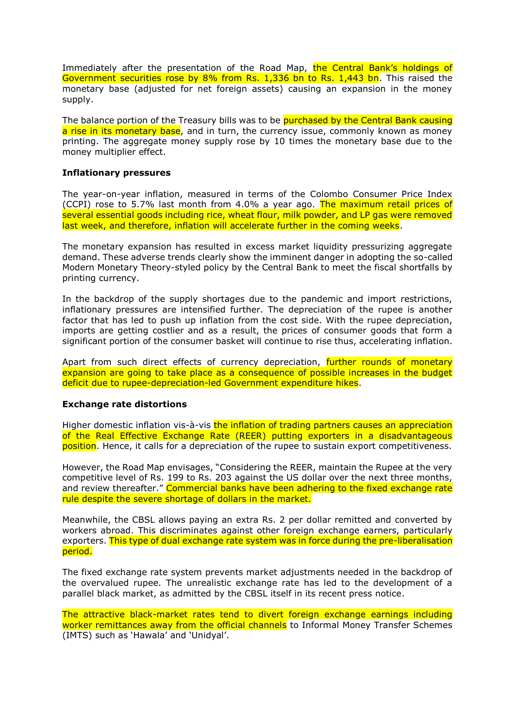Immediately after the presentation of the Road Map, the Central Bank's holdings of Government securities rose by 8% from Rs. 1,336 bn to Rs. 1,443 bn. This raised the monetary base (adjusted for net foreign assets) causing an expansion in the money supply.

The balance portion of the Treasury bills was to be purchased by the Central Bank causing a rise in its monetary base, and in turn, the currency issue, commonly known as money printing. The aggregate money supply rose by 10 times the monetary base due to the money multiplier effect.

### **Inflationary pressures**

The year-on-year inflation, measured in terms of the Colombo Consumer Price Index (CCPI) rose to 5.7% last month from 4.0% a year ago. The maximum retail prices of several essential goods including rice, wheat flour, milk powder, and LP gas were removed last week, and therefore, inflation will accelerate further in the coming weeks.

The monetary expansion has resulted in excess market liquidity pressurizing aggregate demand. These adverse trends clearly show the imminent danger in adopting the so-called Modern Monetary Theory-styled policy by the Central Bank to meet the fiscal shortfalls by printing currency.

In the backdrop of the supply shortages due to the pandemic and import restrictions, inflationary pressures are intensified further. The depreciation of the rupee is another factor that has led to push up inflation from the cost side. With the rupee depreciation, imports are getting costlier and as a result, the prices of consumer goods that form a significant portion of the consumer basket will continue to rise thus, accelerating inflation.

Apart from such direct effects of currency depreciation, further rounds of monetary expansion are going to take place as a consequence of possible increases in the budget deficit due to rupee-depreciation-led Government expenditure hikes.

## **Exchange rate distortions**

Higher domestic inflation vis-à-vis the inflation of trading partners causes an appreciation of the Real Effective Exchange Rate (REER) putting exporters in a disadvantageous position. Hence, it calls for a depreciation of the rupee to sustain export competitiveness.

However, the Road Map envisages, "Considering the REER, maintain the Rupee at the very competitive level of Rs. 199 to Rs. 203 against the US dollar over the next three months, and review thereafter." Commercial banks have been adhering to the fixed exchange rate rule despite the severe shortage of dollars in the market.

Meanwhile, the CBSL allows paying an extra Rs. 2 per dollar remitted and converted by workers abroad. This discriminates against other foreign exchange earners, particularly exporters. This type of dual exchange rate system was in force during the pre-liberalisation period.

The fixed exchange rate system prevents market adjustments needed in the backdrop of the overvalued rupee. The unrealistic exchange rate has led to the development of a parallel black market, as admitted by the CBSL itself in its recent press notice.

The attractive black-market rates tend to divert foreign exchange earnings including worker remittances away from the official channels to Informal Money Transfer Schemes (IMTS) such as 'Hawala' and 'Unidyal'.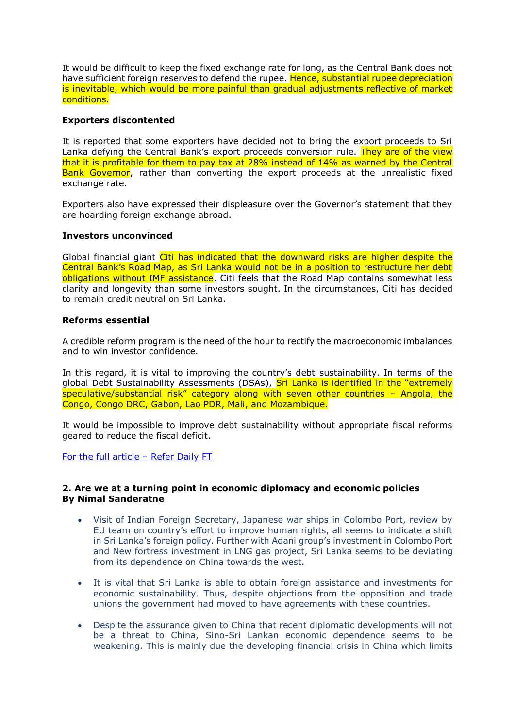It would be difficult to keep the fixed exchange rate for long, as the Central Bank does not have sufficient foreign reserves to defend the rupee. Hence, substantial rupee depreciation is inevitable, which would be more painful than gradual adjustments reflective of market conditions.

## **Exporters discontented**

It is reported that some exporters have decided not to bring the export proceeds to Sri Lanka defying the Central Bank's export proceeds conversion rule. They are of the view that it is profitable for them to pay tax at 28% instead of 14% as warned by the Central Bank Governor, rather than converting the export proceeds at the unrealistic fixed exchange rate.

Exporters also have expressed their displeasure over the Governor's statement that they are hoarding foreign exchange abroad.

## **Investors unconvinced**

Global financial giant Citi has indicated that the downward risks are higher despite the Central Bank's Road Map, as Sri Lanka would not be in a position to restructure her debt obligations without IMF assistance. Citi feels that the Road Map contains somewhat less clarity and longevity than some investors sought. In the circumstances, Citi has decided to remain credit neutral on Sri Lanka.

## **Reforms essential**

A credible reform program is the need of the hour to rectify the macroeconomic imbalances and to win investor confidence.

In this regard, it is vital to improving the country's debt sustainability. In terms of the global Debt Sustainability Assessments (DSAs), Sri Lanka is identified in the "extremely speculative/substantial risk" category along with seven other countries – Angola, the Congo, Congo DRC, Gabon, Lao PDR, Mali, and Mozambique.

It would be impossible to improve debt sustainability without appropriate fiscal reforms geared to reduce the fiscal deficit.

[For the full article](https://www.ft.lk/columns/Economic-instability-likely-to-prevail-despite-Central-Bank-s-Road-Map/4-724287) – Refer Daily FT

## **2. Are we at a turning point in economic diplomacy and economic policies By Nimal Sanderatne**

- Visit of Indian Foreign Secretary, Japanese war ships in Colombo Port, review by EU team on country's effort to improve human rights, all seems to indicate a shift in Sri Lanka's foreign policy. Further with Adani group's investment in Colombo Port and New fortress investment in LNG gas project, Sri Lanka seems to be deviating from its dependence on China towards the west.
- It is vital that Sri Lanka is able to obtain foreign assistance and investments for economic sustainability. Thus, despite objections from the opposition and trade unions the government had moved to have agreements with these countries.
- Despite the assurance given to China that recent diplomatic developments will not be a threat to China, Sino-Sri Lankan economic dependence seems to be weakening. This is mainly due the developing financial crisis in China which limits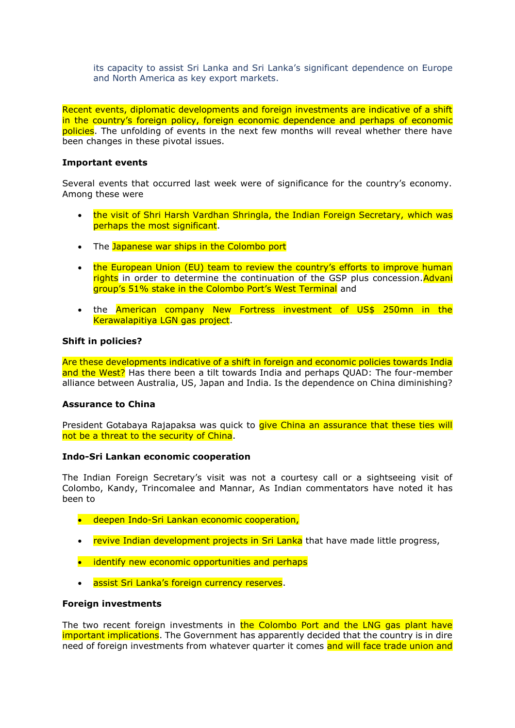its capacity to assist Sri Lanka and Sri Lanka's significant dependence on Europe and North America as key export markets.

Recent events, diplomatic developments and foreign investments are indicative of a shift in the country's foreign policy, foreign economic dependence and perhaps of economic policies. The unfolding of events in the next few months will reveal whether there have been changes in these pivotal issues.

#### **Important events**

Several events that occurred last week were of significance for the country's economy. Among these were

- the visit of Shri Harsh Vardhan Shringla, the Indian Foreign Secretary, which was perhaps the most significant.
- The Japanese war ships in the Colombo port
- the European Union (EU) team to review the country's efforts to improve human rights in order to determine the continuation of the GSP plus concession. Advani group's 51% stake in the Colombo Port's West Terminal and
- the American company New Fortress investment of US\$ 250mn in the Kerawalapitiya LGN gas project.

#### **Shift in policies?**

Are these developments indicative of a shift in foreign and economic policies towards India and the West? Has there been a tilt towards India and perhaps QUAD: The four-member alliance between Australia, US, Japan and India. Is the dependence on China diminishing?

#### **Assurance to China**

President Gotabaya Rajapaksa was quick to *give China an assurance that these ties will* not be a threat to the security of China.

#### **Indo-Sri Lankan economic cooperation**

The Indian Foreign Secretary's visit was not a courtesy call or a sightseeing visit of Colombo, Kandy, Trincomalee and Mannar, As Indian commentators have noted it has been to

- deepen Indo-Sri Lankan economic cooperation,
- revive Indian development projects in Sri Lanka that have made little progress,
- identify new economic opportunities and perhaps
- assist Sri Lanka's foreign currency reserves.

#### **Foreign investments**

The two recent foreign investments in the Colombo Port and the LNG gas plant have important implications. The Government has apparently decided that the country is in dire need of foreign investments from whatever quarter it comes and will face trade union and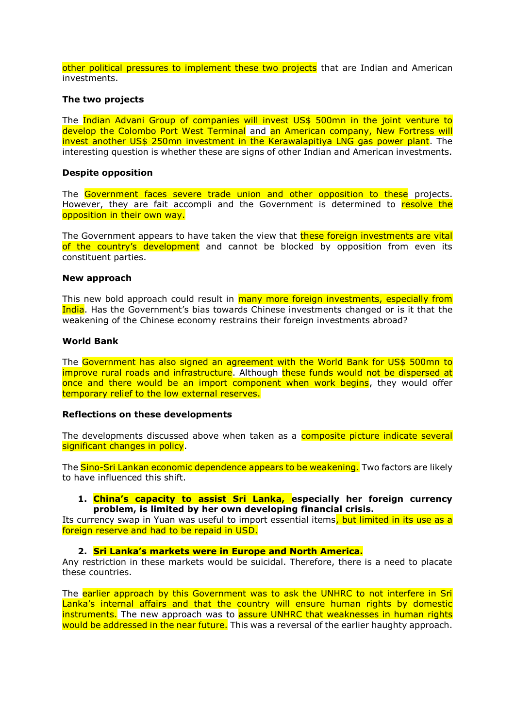other political pressures to implement these two projects that are Indian and American investments.

#### **The two projects**

The Indian Advani Group of companies will invest US\$ 500mn in the joint venture to develop the Colombo Port West Terminal and an American company, New Fortress will invest another US\$ 250mn investment in the Kerawalapitiya LNG gas power plant. The interesting question is whether these are signs of other Indian and American investments.

#### **Despite opposition**

The Government faces severe trade union and other opposition to these projects. However, they are fait accompli and the Government is determined to resolve the opposition in their own way.

The Government appears to have taken the view that **these foreign investments are vital** of the country's development and cannot be blocked by opposition from even its constituent parties.

#### **New approach**

This new bold approach could result in many more foreign investments, especially from India. Has the Government's bias towards Chinese investments changed or is it that the weakening of the Chinese economy restrains their foreign investments abroad?

#### **World Bank**

The Government has also signed an agreement with the World Bank for US\$ 500mn to improve rural roads and infrastructure. Although these funds would not be dispersed at once and there would be an import component when work begins, they would offer temporary relief to the low external reserves.

#### **Reflections on these developments**

The developments discussed above when taken as a **composite picture indicate several** significant changes in policy.

The Sino-Sri Lankan economic dependence appears to be weakening. Two factors are likely to have influenced this shift.

#### **1. China's capacity to assist Sri Lanka, especially her foreign currency problem, is limited by her own developing financial crisis.**

Its currency swap in Yuan was useful to import essential items, but limited in its use as a foreign reserve and had to be repaid in USD.

#### **2. Sri Lanka's markets were in Europe and North America.**

Any restriction in these markets would be suicidal. Therefore, there is a need to placate these countries.

The earlier approach by this Government was to ask the UNHRC to not interfere in Sri Lanka's internal affairs and that the country will ensure human rights by domestic instruments. The new approach was to assure UNHRC that weaknesses in human rights would be addressed in the near future. This was a reversal of the earlier haughty approach.